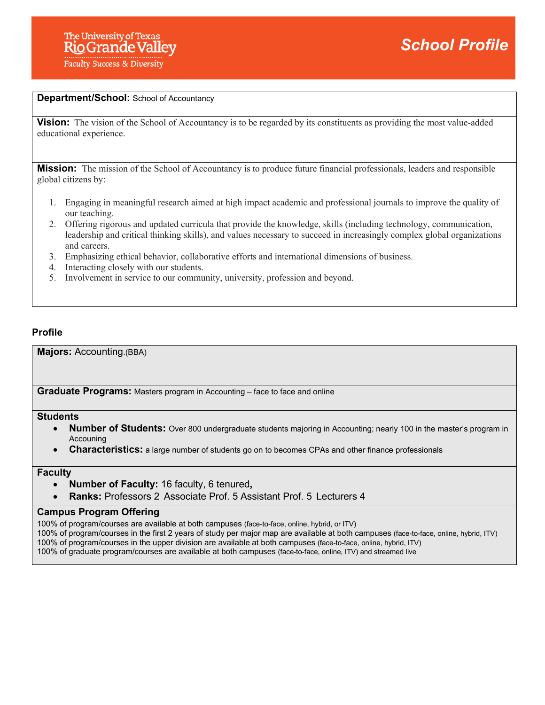### **Department/School:** School of Accountancy

**Vision:** The vision of the School of Accountancy is to be regarded by its constituents as providing the most value-added educational experience.

**Mission:** The mission of the School of Accountancy is to produce future financial professionals, leaders and responsible global citizens by:

- 1. Engaging in meaningful research aimed at high impact academic and professional journals to improve the quality of our teaching.
- 2. Offering rigorous and updated curricula that provide the knowledge, skills (including technology, communication, leadership and critical thinking skills), and values necessary to succeed in increasingly complex global organizations and careers.
- 3. Emphasizing ethical behavior, collaborative efforts and international dimensions of business.
- 4. Interacting closely with our students.
- 5. Involvement in service to our community, university, profession and beyond.

## **Profile**

**Majors:** Accounting.(BBA)

**Graduate Programs:** Masters program in Accounting – face to face and online

## **Students**

- **Number of Students:** Over 800 undergraduate students majoring in Accounting; nearly 100 in the master's program in Accouning
- **Characteristics:** a large number of students go on to becomes CPAs and other finance professionals

## **Faculty**

- **Number of Faculty:** 16 faculty, 6 tenured**,**
- **Ranks:** Professors 2 Associate Prof. 5 Assistant Prof. 5 Lecturers 4

#### **Campus Program Offering**

100% of program/courses are available at both campuses (face-to-face, online, hybrid, or ITV)

100% of program/courses in the first 2 years of study per major map are available at both campuses (face-to-face, online, hybrid, ITV) 100% of program/courses in the upper division are available at both campuses (face-to-face, online, hybrid, ITV)

100% of graduate program/courses are available at both campuses (face-to-face, online, ITV) and streamed live